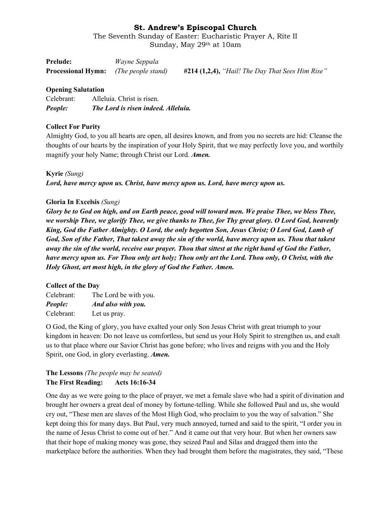The Seventh Sunday of Easter: Eucharistic Prayer A, Rite II Sunday, May 29th at 10am

| Prelude:                                            | Wayne Seppala |                                                    |
|-----------------------------------------------------|---------------|----------------------------------------------------|
| <b>Processional Hymn:</b> <i>(The people stand)</i> |               | $#214$ (1,2,4), "Hail! The Day That Sees Him Rise" |

### **Opening Salutation**

| People:    | The Lord is risen indeed. Alleluia. |
|------------|-------------------------------------|
| Celebrant: | Alleluia. Christ is risen.          |

### **Collect For Purity**

Almighty God, to you all hearts are open, all desires known, and from you no secrets are hid: Cleanse the thoughts of our hearts by the inspiration of your Holy Spirit, that we may perfectly love you, and worthily magnify your holy Name; through Christ our Lord. *Amen.*

**Kyrie** *(Sung) Lord, have mercy upon us. Christ, have mercy upon us. Lord, have mercy upon us.*

### **Gloria In Excelsis** *(Sung)*

*Glory be to God on high, and on Earth peace, good will toward men. We praise Thee, we bless Thee, we worship Thee, we glorify Thee, we give thanks to Thee, for Thy great glory. O Lord God, heavenly King, God the Father Almighty. O Lord, the only begotten Son, Jesus Christ; O Lord God, Lamb of God, Son of the Father, That takest away the sin of the world, have mercy upon us. Thou that takest away the sin of the world, receive our prayer. Thou that sittest at the right hand of God the Father, have mercy upon us. For Thou only art holy; Thou only art the Lord. Thou only, O Christ, with the Holy Ghost, art most high, in the glory of God the Father. Amen.*

### **Collect of the Day**

Celebrant: The Lord be with you. *People: And also with you.* Celebrant: Let us pray.

O God, the King of glory, you have exalted your only Son Jesus Christ with great triumph to your kingdom in heaven: Do not leave us comfortless, but send us your Holy Spirit to strengthen us, and exalt us to that place where our Savior Christ has gone before; who lives and reigns with you and the Holy Spirit, one God, in glory everlasting. *Amen.*

# **The Lessons** *(The people may be seated)* **The First Reading: Acts 16:16-34**

One day as we were going to the place of prayer, we met a female slave who had a spirit of divination and brought her owners a great deal of money by fortune-telling. While she followed Paul and us, she would cry out, "These men are slaves of the Most High God, who proclaim to you the way of salvation." She kept doing this for many days. But Paul, very much annoyed, turned and said to the spirit, "I order you in the name of Jesus Christ to come out of her." And it came out that very hour. But when her owners saw that their hope of making money was gone, they seized Paul and Silas and dragged them into the marketplace before the authorities. When they had brought them before the magistrates, they said, "These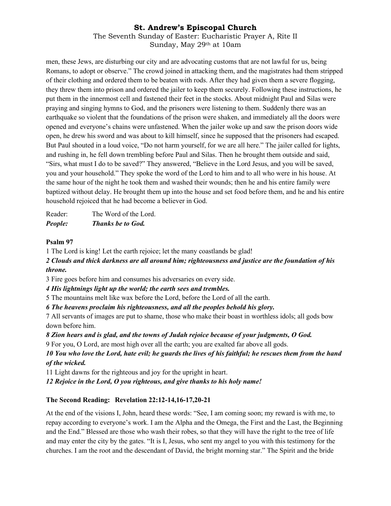The Seventh Sunday of Easter: Eucharistic Prayer A, Rite II Sunday, May 29th at 10am

men, these Jews, are disturbing our city and are advocating customs that are not lawful for us, being Romans, to adopt or observe." The crowd joined in attacking them, and the magistrates had them stripped of their clothing and ordered them to be beaten with rods. After they had given them a severe flogging, they threw them into prison and ordered the jailer to keep them securely. Following these instructions, he put them in the innermost cell and fastened their feet in the stocks. About midnight Paul and Silas were praying and singing hymns to God, and the prisoners were listening to them. Suddenly there was an earthquake so violent that the foundations of the prison were shaken, and immediately all the doors were opened and everyone's chains were unfastened. When the jailer woke up and saw the prison doors wide open, he drew his sword and was about to kill himself, since he supposed that the prisoners had escaped. But Paul shouted in a loud voice, "Do not harm yourself, for we are all here." The jailer called for lights, and rushing in, he fell down trembling before Paul and Silas. Then he brought them outside and said, "Sirs, what must I do to be saved?" They answered, "Believe in the Lord Jesus, and you will be saved, you and your household." They spoke the word of the Lord to him and to all who were in his house. At the same hour of the night he took them and washed their wounds; then he and his entire family were baptized without delay. He brought them up into the house and set food before them, and he and his entire household rejoiced that he had become a believer in God.

Reader: The Word of the Lord. *People: Thanks be to God.*

### **Psalm 97**

1 The Lord is king! Let the earth rejoice; let the many coastlands be glad!

*2 Clouds and thick darkness are all around him; righteousness and justice are the foundation of his throne.*

3 Fire goes before him and consumes his adversaries on every side.

*4 His lightnings light up the world; the earth sees and trembles.*

5 The mountains melt like wax before the Lord, before the Lord of all the earth.

*6 The heavens proclaim his righteousness, and all the peoples behold his glory.*

7 All servants of images are put to shame, those who make their boast in worthless idols; all gods bow down before him.

*8 Zion hears and is glad, and the towns of Judah rejoice because of your judgments, O God.*

9 For you, O Lord, are most high over all the earth; you are exalted far above all gods.

## *10 You who love the Lord, hate evil; he guards the lives of his faithful; he rescues them from the hand of the wicked.*

11 Light dawns for the righteous and joy for the upright in heart.

*12 Rejoice in the Lord, O you righteous, and give thanks to his holy name!*

### **The Second Reading: Revelation 22:12-14,16-17,20-21**

At the end of the visions I, John, heard these words: "See, I am coming soon; my reward is with me, to repay according to everyone's work. I am the Alpha and the Omega, the First and the Last, the Beginning and the End." Blessed are those who wash their robes, so that they will have the right to the tree of life and may enter the city by the gates. "It is I, Jesus, who sent my angel to you with this testimony for the churches. I am the root and the descendant of David, the bright morning star." The Spirit and the bride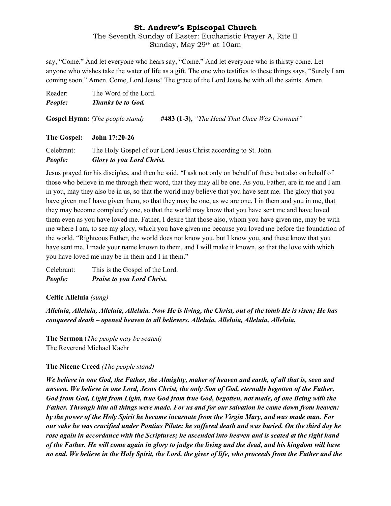### The Seventh Sunday of Easter: Eucharistic Prayer A, Rite II Sunday, May 29th at 10am

say, "Come." And let everyone who hears say, "Come." And let everyone who is thirsty come. Let anyone who wishes take the water of life as a gift. The one who testifies to these things says, "Surely I am coming soon." Amen. Come, Lord Jesus! The grace of the Lord Jesus be with all the saints. Amen.

| People: | <b>Thanks be to God.</b> |
|---------|--------------------------|
| Reader: | The Word of the Lord.    |

**Gospel Hymn:** *(The people stand)* **#483 (1-3),** *"The Head That Once Was Crowned"*

### **The Gospel: John 17:20-26**

Celebrant: The Holy Gospel of our Lord Jesus Christ according to St. John. *People: Glory to you Lord Christ.*

Jesus prayed for his disciples, and then he said. "I ask not only on behalf of these but also on behalf of those who believe in me through their word, that they may all be one. As you, Father, are in me and I am in you, may they also be in us, so that the world may believe that you have sent me. The glory that you have given me I have given them, so that they may be one, as we are one, I in them and you in me, that they may become completely one, so that the world may know that you have sent me and have loved them even as you have loved me. Father, I desire that those also, whom you have given me, may be with me where I am, to see my glory, which you have given me because you loved me before the foundation of the world. "Righteous Father, the world does not know you, but I know you, and these know that you have sent me. I made your name known to them, and I will make it known, so that the love with which you have loved me may be in them and I in them."

Celebrant: This is the Gospel of the Lord. *People: Praise to you Lord Christ.*

**Celtic Alleluia** *(sung)*

*Alleluia, Alleluia, Alleluia, Alleluia. Now He is living, the Christ, out of the tomb He is risen; He has conquered death – opened heaven to all believers. Alleluia, Alleluia, Alleluia, Alleluia.*

**The Sermon** (*The people may be seated)* The Reverend Michael Kaehr

### **The Nicene Creed** *(The people stand)*

*We believe in one God, the Father, the Almighty, maker of heaven and earth, of all that is, seen and unseen. We believe in one Lord, Jesus Christ, the only Son of God, eternally begotten of the Father, God from God, Light from Light, true God from true God, begotten, not made, of one Being with the Father. Through him all things were made. For us and for our salvation he came down from heaven: by the power of the Holy Spirit he became incarnate from the Virgin Mary, and was made man. For our sake he was crucified under Pontius Pilate; he suffered death and was buried. On the third day he rose again in accordance with the Scriptures; he ascended into heaven and is seated at the right hand of the Father. He will come again in glory to judge the living and the dead, and his kingdom will have no end. We believe in the Holy Spirit, the Lord, the giver of life, who proceeds from the Father and the*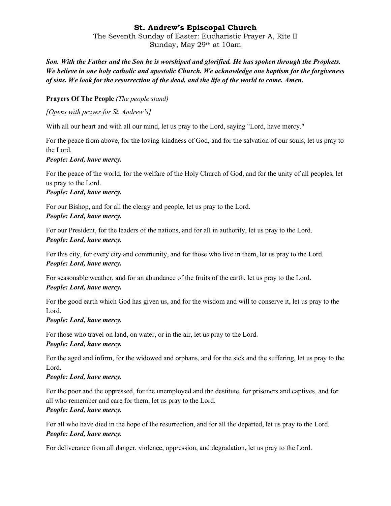The Seventh Sunday of Easter: Eucharistic Prayer A, Rite II Sunday, May 29th at 10am

*Son. With the Father and the Son he is worshiped and glorified. He has spoken through the Prophets. We believe in one holy catholic and apostolic Church. We acknowledge one baptism for the forgiveness of sins. We look for the resurrection of the dead, and the life of the world to come. Amen.*

## **Prayers Of The People** *(The people stand)*

*[Opens with prayer for St. Andrew's]*

With all our heart and with all our mind, let us pray to the Lord, saying "Lord, have mercy."

For the peace from above, for the loving-kindness of God, and for the salvation of our souls, let us pray to the Lord.

### *People: Lord, have mercy.*

For the peace of the world, for the welfare of the Holy Church of God, and for the unity of all peoples, let us pray to the Lord.

## *People: Lord, have mercy.*

For our Bishop, and for all the clergy and people, let us pray to the Lord. *People: Lord, have mercy.*

For our President, for the leaders of the nations, and for all in authority, let us pray to the Lord. *People: Lord, have mercy.*

For this city, for every city and community, and for those who live in them, let us pray to the Lord. *People: Lord, have mercy.*

For seasonable weather, and for an abundance of the fruits of the earth, let us pray to the Lord. *People: Lord, have mercy.*

For the good earth which God has given us, and for the wisdom and will to conserve it, let us pray to the Lord.

### *People: Lord, have mercy.*

For those who travel on land, on water, or in the air, let us pray to the Lord. *People: Lord, have mercy.*

For the aged and infirm, for the widowed and orphans, and for the sick and the suffering, let us pray to the Lord.

# *People: Lord, have mercy.*

For the poor and the oppressed, for the unemployed and the destitute, for prisoners and captives, and for all who remember and care for them, let us pray to the Lord.

## *People: Lord, have mercy.*

For all who have died in the hope of the resurrection, and for all the departed, let us pray to the Lord. *People: Lord, have mercy.*

For deliverance from all danger, violence, oppression, and degradation, let us pray to the Lord.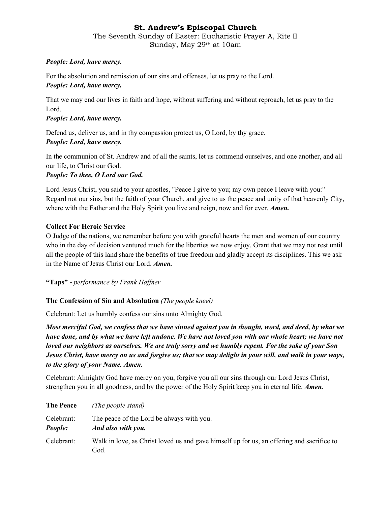The Seventh Sunday of Easter: Eucharistic Prayer A, Rite II Sunday, May 29th at 10am

## *People: Lord, have mercy.*

For the absolution and remission of our sins and offenses, let us pray to the Lord.

## *People: Lord, have mercy.*

That we may end our lives in faith and hope, without suffering and without reproach, let us pray to the Lord.

## *People: Lord, have mercy.*

Defend us, deliver us, and in thy compassion protect us, O Lord, by thy grace. *People: Lord, have mercy.*

In the communion of St. Andrew and of all the saints, let us commend ourselves, and one another, and all our life, to Christ our God.

## *People: To thee, O Lord our God.*

Lord Jesus Christ, you said to your apostles, "Peace I give to you; my own peace I leave with you:" Regard not our sins, but the faith of your Church, and give to us the peace and unity of that heavenly City, where with the Father and the Holy Spirit you live and reign, now and for ever. *Amen.*

## **Collect For Heroic Service**

O Judge of the nations, we remember before you with grateful hearts the men and women of our country who in the day of decision ventured much for the liberties we now enjoy. Grant that we may not rest until all the people of this land share the benefits of true freedom and gladly accept its disciplines. This we ask in the Name of Jesus Christ our Lord. *Amen.*

**"Taps" -** *performance by Frank Haffner*

# **The Confession of Sin and Absolution** *(The people kneel)*

Celebrant: Let us humbly confess our sins unto Almighty God.

*Most merciful God, we confess that we have sinned against you in thought, word, and deed, by what we have done, and by what we have left undone. We have not loved you with our whole heart; we have not loved our neighbors as ourselves. We are truly sorry and we humbly repent. For the sake of your Son Jesus Christ, have mercy on us and forgive us; that we may delight in your will, and walk in your ways, to the glory of your Name. Amen.*

Celebrant: Almighty God have mercy on you, forgive you all our sins through our Lord Jesus Christ, strengthen you in all goodness, and by the power of the Holy Spirit keep you in eternal life. *Amen.*

| <b>The Peace</b>             | (The people stand)                                                                                |
|------------------------------|---------------------------------------------------------------------------------------------------|
| Celebrant:<br><b>People:</b> | The peace of the Lord be always with you.<br>And also with you.                                   |
| Celebrant:                   | Walk in love, as Christ loved us and gave himself up for us, an offering and sacrifice to<br>God. |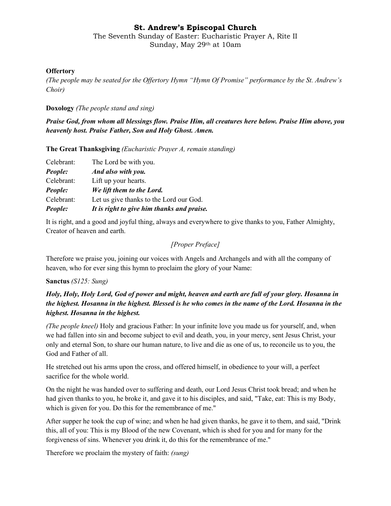The Seventh Sunday of Easter: Eucharistic Prayer A, Rite II Sunday, May 29th at 10am

### **Offertory**

*(The people may be seated for the Offertory Hymn "Hymn Of Promise" performance by the St. Andrew's Choir)*

**Doxology** *(The people stand and sing)*

*Praise God, from whom all blessings flow. Praise Him, all creatures here below. Praise Him above, you heavenly host. Praise Father, Son and Holy Ghost. Amen.*

**The Great Thanksgiving** *(Eucharistic Prayer A, remain standing)*

| People:    | It is right to give him thanks and praise. |
|------------|--------------------------------------------|
| Celebrant: | Let us give thanks to the Lord our God.    |
| People:    | We lift them to the Lord.                  |
| Celebrant: | Lift up your hearts.                       |
| People:    | And also with you.                         |
| Celebrant: | The Lord be with you.                      |

It is right, and a good and joyful thing, always and everywhere to give thanks to you, Father Almighty, Creator of heaven and earth.

### *[Proper Preface]*

Therefore we praise you, joining our voices with Angels and Archangels and with all the company of heaven, who for ever sing this hymn to proclaim the glory of your Name:

### **Sanctus** *(S125: Sung)*

# *Holy, Holy, Holy Lord, God of power and might, heaven and earth are full of your glory. Hosanna in the highest. Hosanna in the highest. Blessed is he who comes in the name of the Lord. Hosanna in the highest. Hosanna in the highest.*

*(The people kneel)* Holy and gracious Father: In your infinite love you made us for yourself, and, when we had fallen into sin and become subject to evil and death, you, in your mercy, sent Jesus Christ, your only and eternal Son, to share our human nature, to live and die as one of us, to reconcile us to you, the God and Father of all.

He stretched out his arms upon the cross, and offered himself, in obedience to your will, a perfect sacrifice for the whole world.

On the night he was handed over to suffering and death, our Lord Jesus Christ took bread; and when he had given thanks to you, he broke it, and gave it to his disciples, and said, "Take, eat: This is my Body, which is given for you. Do this for the remembrance of me."

After supper he took the cup of wine; and when he had given thanks, he gave it to them, and said, "Drink this, all of you: This is my Blood of the new Covenant, which is shed for you and for many for the forgiveness of sins. Whenever you drink it, do this for the remembrance of me."

Therefore we proclaim the mystery of faith: *(sung)*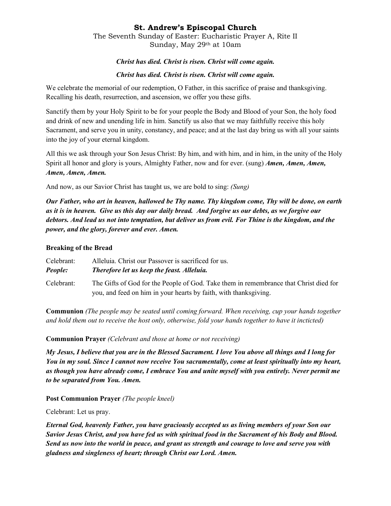The Seventh Sunday of Easter: Eucharistic Prayer A, Rite II Sunday, May 29th at 10am

### *Christ has died. Christ is risen. Christ will come again.*

### *Christ has died. Christ is risen. Christ will come again.*

We celebrate the memorial of our redemption, O Father, in this sacrifice of praise and thanksgiving. Recalling his death, resurrection, and ascension, we offer you these gifts.

Sanctify them by your Holy Spirit to be for your people the Body and Blood of your Son, the holy food and drink of new and unending life in him. Sanctify us also that we may faithfully receive this holy Sacrament, and serve you in unity, constancy, and peace; and at the last day bring us with all your saints into the joy of your eternal kingdom.

All this we ask through your Son Jesus Christ: By him, and with him, and in him, in the unity of the Holy Spirit all honor and glory is yours, Almighty Father, now and for ever. (sung) *Amen, Amen, Amen, Amen, Amen, Amen.*

And now, as our Savior Christ has taught us, we are bold to sing: *(Sung)*

*Our Father, who art in heaven, hallowed be Thy name. Thy kingdom come, Thy will be done, on earth as it is in heaven. Give us this day our daily bread. And forgive us our debts, as we forgive our debtors. And lead us not into temptation, but deliver us from evil. For Thine is the kingdom, and the power, and the glory, forever and ever. Amen.*

### **Breaking of the Bread**

Celebrant: Alleluia. Christ our Passover is sacrificed for us. *People: Therefore let us keep the feast. Alleluia.* Celebrant: The Gifts of God for the People of God. Take them in remembrance that Christ died for you, and feed on him in your hearts by faith, with thanksgiving.

**Communion** *(The people may be seated until coming forward. When receiving, cup your hands together and hold them out to receive the host only, otherwise, fold your hands together to have it incticted)*

**Communion Prayer** *(Celebrant and those at home or not receiving)*

*My Jesus, I believe that you are in the Blessed Sacrament. I love You above all things and I long for You in my soul. Since I cannot now receive You sacramentally, come at least spiritually into my heart, as though you have already come, I embrace You and unite myself with you entirely. Never permit me to be separated from You. Amen.*

**Post Communion Prayer** *(The people kneel)*

Celebrant: Let us pray.

*Eternal God, heavenly Father, you have graciously accepted us as living members of your Son our Savior Jesus Christ, and you have fed us with spiritual food in the Sacrament of his Body and Blood. Send us now into the world in peace, and grant us strength and courage to love and serve you with gladness and singleness of heart; through Christ our Lord. Amen.*